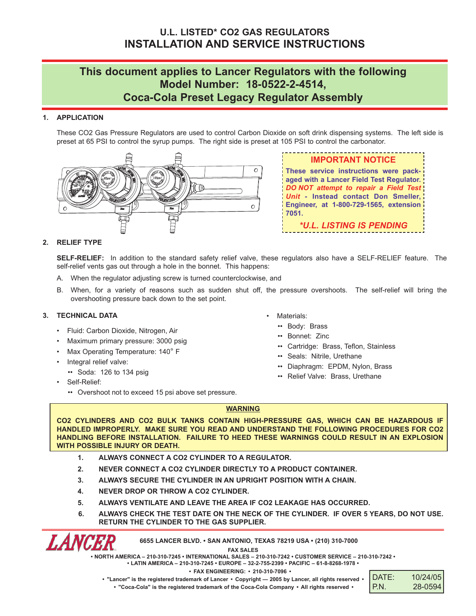## **u.L. LISTEd\* CO2 GAS REGuLATORS INSTALLATION ANd SERVICE INSTRuCTIONS**

# **This document applies to Lancer Regulators with the following model Number: 18-0522-2-4514, Coca-Cola Preset Legacy Regulator Assembly**

## **1. APPLICATION**

These CO2 Gas Pressure Regulators are used to control Carbon Dioxide on soft drink dispensing systems. The left side is preset at 65 PSI to control the syrup pumps. The right side is preset at 105 PSI to control the carbonator.



**ImPORTANT NOTICE These service instructions were packaged with a Lancer Field Test Regulator.** *DO NOT attempt to repair a Field Test Unit* **- Instead contact don Smeller, Engineer, at 1-800-729-1565, extension 7051.** *\*U.L. LISTING IS PENDING*

## **2. RELIEF TYPE**

**SELF-RELIEF:** In addition to the standard safety relief valve, these regulators also have a SELF-RELIEF feature. The self-relief vents gas out through a hole in the bonnet. This happens:

- A. When the regulator adjusting screw is turned counterclockwise, and
- B. When, for a variety of reasons such as sudden shut off, the pressure overshoots. The self-relief will bring the overshooting pressure back down to the set point.

## **3. TEChNICAL dATA**

- Fluid: Carbon Dioxide, Nitrogen, Air
- Maximum primary pressure: 3000 psig
- Max Operating Temperature: 140° F
- Integral relief valve:
- •• Soda: 126 to 134 psig
- Self-Relief:

LANCER

•• Overshoot not to exceed 15 psi above set pressure.

- Materials:
	- •• Body: Brass
	- •• Bonnet: Zinc
	- •• Cartridge: Brass, Teflon, Stainless
	- •• Seals: Nitrile, Urethane
	- •• Diaphragm: EPDM, Nylon, Brass
	- •• Relief Valve: Brass, Urethane

## **WARNING**

**CO2 CYLINdERS ANd CO2 buLk TANkS CONTAIN hIGh-PRESSuRE GAS, WhICh CAN bE hAzARdOuS IF hANdLEd ImPROPERLY. mAkE SuRE YOu REAd ANd uNdERSTANd ThE FOLLOWING PROCEduRES FOR CO2 hANdLING bEFORE INSTALLATION. FAILuRE TO hEEd ThESE WARNINGS COuLd RESuLT IN AN ExPLOSION WITh POSSIbLE INjuRY OR dEATh.**

- **1. ALWAYS CONNECT A CO2 CYLINdER TO A REGuLATOR.**
- **2. NEVER CONNECT A CO2 CYLINdER dIRECTLY TO A PROduCT CONTAINER.**
- **3. ALWAYS SECuRE ThE CYLINdER IN AN uPRIGhT POSITION WITh A ChAIN.**
- **4. NEVER dROP OR ThROW A CO2 CYLINdER.**
- **5. ALWAYS VENTILATE ANd LEAVE ThE AREA IF CO2 LEAkAGE hAS OCCuRREd.**
- **6. ALWAYS ChECk ThE TEST dATE ON ThE NECk OF ThE CYLINdER. IF OVER 5 YEARS, dO NOT uSE. RETuRN ThE CYLINdER TO ThE GAS SuPPLIER.**

**6655 LANCER bLVd. • SAN ANTONIO, TExAS 78219 uSA • (210) 310-7000**

**FAx SALES**

**• NORTh AmERICA – 210-310-7245 • INTERNATIONAL SALES – 210-310-7242 • CuSTOmER SERVICE – 210-310-7242 •**

**• LATIN AmERICA – 210-310-7245 • EuROPE – 32-2-755-2399 • PACIFIC – 61-8-8268-1978 •**

**• FAx ENGINEERING: • 210-310-7096 •**

DATE: 10/24/05 P.N. 28-0594

. "Lancer" is the registered trademark of Lancer . Copyright - 2005 by Lancer, all rights reserved . **• "Coca-Cola" is the registered trademark of the Coca-Cola Company • All rights reserved •**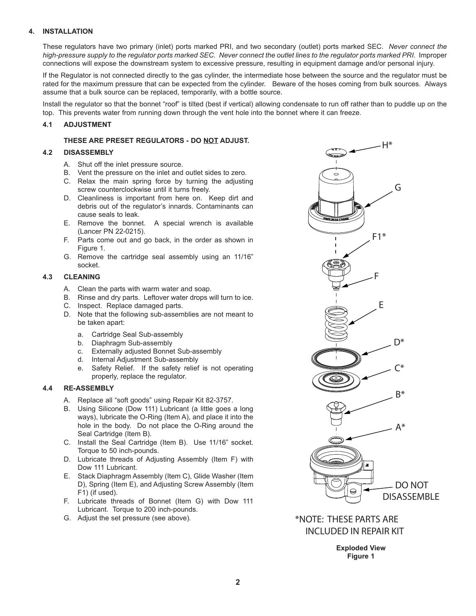#### **4. INSTALLATION**

These regulators have two primary (inlet) ports marked PRI, and two secondary (outlet) ports marked SEC. *Never connect the* high-pressure supply to the regulator ports marked SEC. Never connect the outlet lines to the regulator ports marked PRI. Improper connections will expose the downstream system to excessive pressure, resulting in equipment damage and/or personal injury.

If the Regulator is not connected directly to the gas cylinder, the intermediate hose between the source and the regulator must be rated for the maximum pressure that can be expected from the cylinder. Beware of the hoses coming from bulk sources. Always assume that a bulk source can be replaced, temporarily, with a bottle source.

Install the regulator so that the bonnet "roof" is tilted (best if vertical) allowing condensate to run off rather than to puddle up on the top. This prevents water from running down through the vent hole into the bonnet where it can freeze.

#### **4.1 AdjuSTmENT**

#### **ThESE ARE PRESET REGuLATORS - dO NOT AdjuST.**

#### **4.2 dISASSEmbLY**

- A. Shut off the inlet pressure source.
- B. Vent the pressure on the inlet and outlet sides to zero.
- C. Relax the main spring force by turning the adjusting screw counterclockwise until it turns freely.
- D. Cleanliness is important from here on. Keep dirt and debris out of the regulator's innards. Contaminants can cause seals to leak.
- E. Remove the bonnet. A special wrench is available (Lancer PN 22-0215).
- F. Parts come out and go back, in the order as shown in Figure 1.
- G. Remove the cartridge seal assembly using an 11/16" socket.

#### **4.3 CLEANING**

- A. Clean the parts with warm water and soap.
- B. Rinse and dry parts. Leftover water drops will turn to ice.
- C. Inspect. Replace damaged parts.
- D. Note that the following sub-assemblies are not meant to be taken apart:
	- a. Cartridge Seal Sub-assembly
	- b. Diaphragm Sub-assembly
	- c. Externally adjusted Bonnet Sub-assembly
	- d. Internal Adjustment Sub-assembly
	- e. Safety Relief. If the safety relief is not operating properly, replace the regulator.

#### **4.4 RE-ASSEmbLY**

- A. Replace all "soft goods" using Repair Kit 82-3757.
- B. Using Silicone (Dow 111) Lubricant (a little goes a long ways), lubricate the O-Ring (Item A), and place it into the hole in the body. Do not place the O-Ring around the Seal Cartridge (Item B).
- C. Install the Seal Cartridge (Item B). Use 11/16" socket. Torque to 50 inch-pounds.
- D. Lubricate threads of Adjusting Assembly (Item F) with Dow 111 Lubricant.
- E. Stack Diaphragm Assembly (Item C), Glide Washer (Item D), Spring (Item E), and Adjusting Screw Assembly (Item F1) (if used).
- F. Lubricate threads of Bonnet (Item G) with Dow 111 Lubricant. Torque to 200 inch-pounds.
- G. Adjust the set pressure (see above).



\*NOTE: THESE PARTS ARE INCLUDED IN REPAIR KIT

> **Exploded View Figure 1**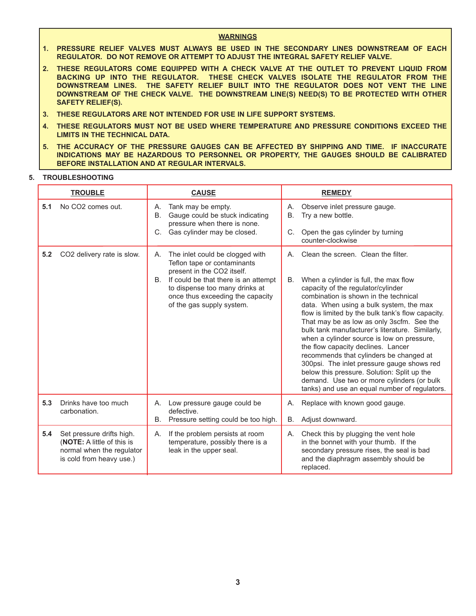#### **WARNINGS**

- 1. PRESSURE RELIEF VALVES MUST ALWAYS BE USED IN THE SECONDARY LINES DOWNSTREAM OF EACH REGULATOR. DO NOT REMOVE OR ATTEMPT TO ADJUST THE INTEGRAL SAFETY RELIEF VALVE.
- 2. THESE REGULATORS COME EQUIPPED WITH A CHECK VALVE AT THE OUTLET TO PREVENT LIQUID FROM BACKING UP INTO THE REGULATOR. THESE CHECK VALVES ISOLATE THE REGULATOR FROM THE DOWNSTREAM LINES. THE SAFETY RELIEF BUILT INTO THE REGULATOR DOES NOT VENT THE LINE DOWNSTREAM OF THE CHECK VALVE. THE DOWNSTREAM LINE(S) NEED(S) TO BE PROTECTED WITH OTHER **SAFETY RELIEF(S).**
- 3. THESE REGULATORS ARE NOT INTENDED FOR USE IN LIFE SUPPORT SYSTEMS.
- 4. THESE REGULATORS MUST NOT BE USED WHERE TEMPERATURE AND PRESSURE CONDITIONS EXCEED THE **LIMITS IN THE TECHNICAL DATA.**
- 5. THE ACCURACY OF THE PRESSURE GAUGES CAN BE AFFECTED BY SHIPPING AND TIME. IF INACCURATE INDICATIONS MAY BE HAZARDOUS TO PERSONNEL OR PROPERTY, THE GAUGES SHOULD BE CALIBRATED BEFORE INSTALLATION AND AT REGULAR INTERVALS.

#### 5. TROUBLESHOOTING

| <b>TROUBLE</b> |                                                                                                                  | <b>CAUSE</b>                                                                                                                               |                 | <b>REMEDY</b>                                                                                                                                                                                                                                                                                                                                                                                                                                                                                                                                                                                                                                   |
|----------------|------------------------------------------------------------------------------------------------------------------|--------------------------------------------------------------------------------------------------------------------------------------------|-----------------|-------------------------------------------------------------------------------------------------------------------------------------------------------------------------------------------------------------------------------------------------------------------------------------------------------------------------------------------------------------------------------------------------------------------------------------------------------------------------------------------------------------------------------------------------------------------------------------------------------------------------------------------------|
| 5.1            | No CO <sub>2</sub> comes out.                                                                                    | Tank may be empty.<br>А.<br>Gauge could be stuck indicating<br><b>B.</b><br>pressure when there is none.                                   | А.<br><b>B.</b> | Observe inlet pressure gauge.<br>Try a new bottle.                                                                                                                                                                                                                                                                                                                                                                                                                                                                                                                                                                                              |
|                |                                                                                                                  | Gas cylinder may be closed.<br>C.                                                                                                          | C.              | Open the gas cylinder by turning<br>counter-clockwise                                                                                                                                                                                                                                                                                                                                                                                                                                                                                                                                                                                           |
| 5.2            | CO2 delivery rate is slow.                                                                                       | The inlet could be clogged with<br>А.<br>Teflon tape or contaminants<br>present in the CO2 itself.                                         | А.              | Clean the screen. Clean the filter.                                                                                                                                                                                                                                                                                                                                                                                                                                                                                                                                                                                                             |
|                |                                                                                                                  | B. If could be that there is an attempt<br>to dispense too many drinks at<br>once thus exceeding the capacity<br>of the gas supply system. | В.              | When a cylinder is full, the max flow<br>capacity of the regulator/cylinder<br>combination is shown in the technical<br>data. When using a bulk system, the max<br>flow is limited by the bulk tank's flow capacity.<br>That may be as low as only 3scfm. See the<br>bulk tank manufacturer's literature. Similarly,<br>when a cylinder source is low on pressure,<br>the flow capacity declines. Lancer<br>recommends that cylinders be changed at<br>300psi. The inlet pressure gauge shows red<br>below this pressure. Solution: Split up the<br>demand. Use two or more cylinders (or bulk<br>tanks) and use an equal number of regulators. |
| 5.3            | Drinks have too much<br>carbonation.                                                                             | Low pressure gauge could be<br>А.<br>defective.                                                                                            | А.              | Replace with known good gauge.                                                                                                                                                                                                                                                                                                                                                                                                                                                                                                                                                                                                                  |
|                |                                                                                                                  | Pressure setting could be too high.<br><b>B.</b>                                                                                           | В.              | Adjust downward.                                                                                                                                                                                                                                                                                                                                                                                                                                                                                                                                                                                                                                |
| 5.4            | Set pressure drifts high.<br>(NOTE: A little of this is<br>normal when the regulator<br>is cold from heavy use.) | If the problem persists at room<br>А.<br>temperature, possibly there is a<br>leak in the upper seal.                                       | А.              | Check this by plugging the vent hole<br>in the bonnet with your thumb. If the<br>secondary pressure rises, the seal is bad<br>and the diaphragm assembly should be<br>replaced.                                                                                                                                                                                                                                                                                                                                                                                                                                                                 |